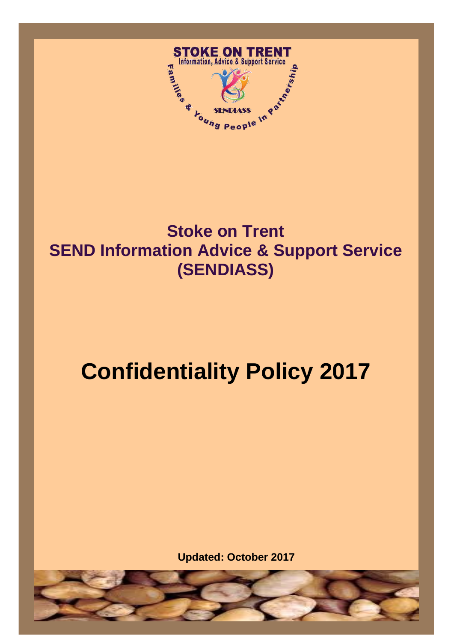

# $\overline{\phantom{0}}$ -<br>, **Stoke on Trent SEND Information Advice & Support Service (SENDIASS)**

# **Confidentiality Policy 2017**

**Updated: October 2017**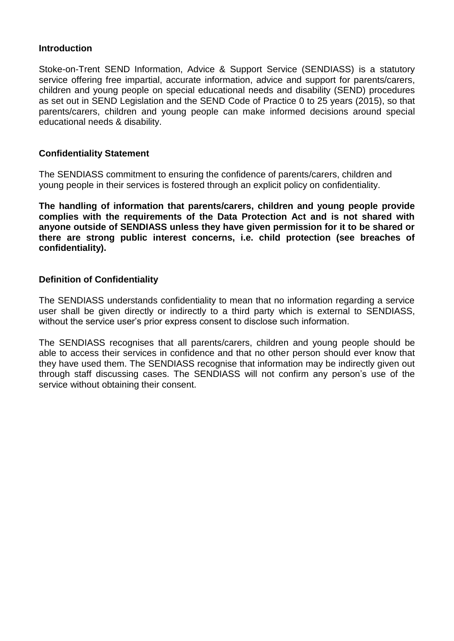#### **Introduction**

Stoke-on-Trent SEND Information, Advice & Support Service (SENDIASS) is a statutory service offering free impartial, accurate information, advice and support for parents/carers, children and young people on special educational needs and disability (SEND) procedures as set out in SEND Legislation and the SEND Code of Practice 0 to 25 years (2015), so that parents/carers, children and young people can make informed decisions around special educational needs & disability.

# **Confidentiality Statement**

The SENDIASS commitment to ensuring the confidence of parents/carers, children and young people in their services is fostered through an explicit policy on confidentiality.

**The handling of information that parents/carers, children and young people provide complies with the requirements of the Data Protection Act and is not shared with anyone outside of SENDIASS unless they have given permission for it to be shared or there are strong public interest concerns, i.e. child protection (see breaches of confidentiality).**

# **Definition of Confidentiality**

The SENDIASS understands confidentiality to mean that no information regarding a service user shall be given directly or indirectly to a third party which is external to SENDIASS, without the service user's prior express consent to disclose such information.

The SENDIASS recognises that all parents/carers, children and young people should be able to access their services in confidence and that no other person should ever know that they have used them. The SENDIASS recognise that information may be indirectly given out through staff discussing cases. The SENDIASS will not confirm any person's use of the service without obtaining their consent.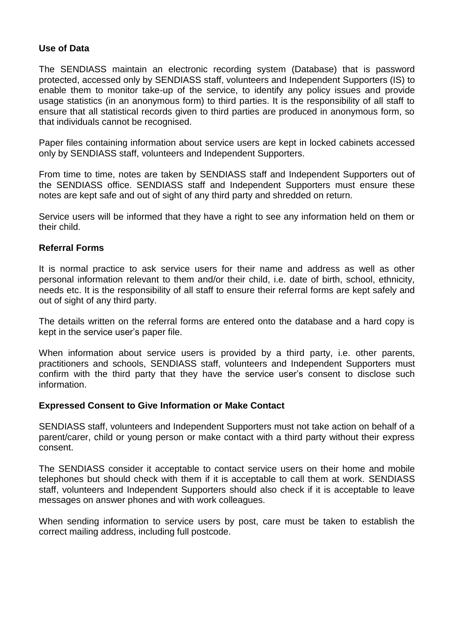# **Use of Data**

The SENDIASS maintain an electronic recording system (Database) that is password protected, accessed only by SENDIASS staff, volunteers and Independent Supporters (IS) to enable them to monitor take-up of the service, to identify any policy issues and provide usage statistics (in an anonymous form) to third parties. It is the responsibility of all staff to ensure that all statistical records given to third parties are produced in anonymous form, so that individuals cannot be recognised.

Paper files containing information about service users are kept in locked cabinets accessed only by SENDIASS staff, volunteers and Independent Supporters.

From time to time, notes are taken by SENDIASS staff and Independent Supporters out of the SENDIASS office. SENDIASS staff and Independent Supporters must ensure these notes are kept safe and out of sight of any third party and shredded on return.

Service users will be informed that they have a right to see any information held on them or their child.

#### **Referral Forms**

It is normal practice to ask service users for their name and address as well as other personal information relevant to them and/or their child, i.e. date of birth, school, ethnicity, needs etc. It is the responsibility of all staff to ensure their referral forms are kept safely and out of sight of any third party.

The details written on the referral forms are entered onto the database and a hard copy is kept in the service user's paper file.

When information about service users is provided by a third party, i.e. other parents, practitioners and schools, SENDIASS staff, volunteers and Independent Supporters must confirm with the third party that they have the service user's consent to disclose such information.

#### **Expressed Consent to Give Information or Make Contact**

SENDIASS staff, volunteers and Independent Supporters must not take action on behalf of a parent/carer, child or young person or make contact with a third party without their express consent.

The SENDIASS consider it acceptable to contact service users on their home and mobile telephones but should check with them if it is acceptable to call them at work. SENDIASS staff, volunteers and Independent Supporters should also check if it is acceptable to leave messages on answer phones and with work colleagues.

When sending information to service users by post, care must be taken to establish the correct mailing address, including full postcode.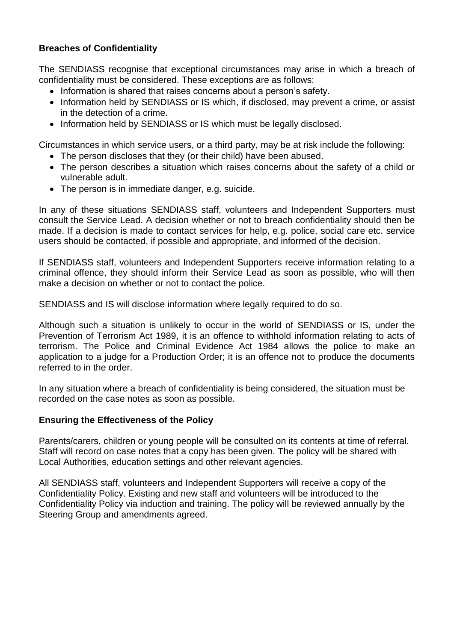# **Breaches of Confidentiality**

The SENDIASS recognise that exceptional circumstances may arise in which a breach of confidentiality must be considered. These exceptions are as follows:

- Information is shared that raises concerns about a person's safety.
- Information held by SENDIASS or IS which, if disclosed, may prevent a crime, or assist in the detection of a crime.
- Information held by SENDIASS or IS which must be legally disclosed.

Circumstances in which service users, or a third party, may be at risk include the following:

- The person discloses that they (or their child) have been abused.
- The person describes a situation which raises concerns about the safety of a child or vulnerable adult.
- The person is in immediate danger, e.g. suicide.

In any of these situations SENDIASS staff, volunteers and Independent Supporters must consult the Service Lead. A decision whether or not to breach confidentiality should then be made. If a decision is made to contact services for help, e.g. police, social care etc. service users should be contacted, if possible and appropriate, and informed of the decision.

If SENDIASS staff, volunteers and Independent Supporters receive information relating to a criminal offence, they should inform their Service Lead as soon as possible, who will then make a decision on whether or not to contact the police.

SENDIASS and IS will disclose information where legally required to do so.

Although such a situation is unlikely to occur in the world of SENDIASS or IS, under the Prevention of Terrorism Act 1989, it is an offence to withhold information relating to acts of terrorism. The Police and Criminal Evidence Act 1984 allows the police to make an application to a judge for a Production Order; it is an offence not to produce the documents referred to in the order.

In any situation where a breach of confidentiality is being considered, the situation must be recorded on the case notes as soon as possible.

# **Ensuring the Effectiveness of the Policy**

Parents/carers, children or young people will be consulted on its contents at time of referral. Staff will record on case notes that a copy has been given. The policy will be shared with Local Authorities, education settings and other relevant agencies.

All SENDIASS staff, volunteers and Independent Supporters will receive a copy of the Confidentiality Policy. Existing and new staff and volunteers will be introduced to the Confidentiality Policy via induction and training. The policy will be reviewed annually by the Steering Group and amendments agreed.